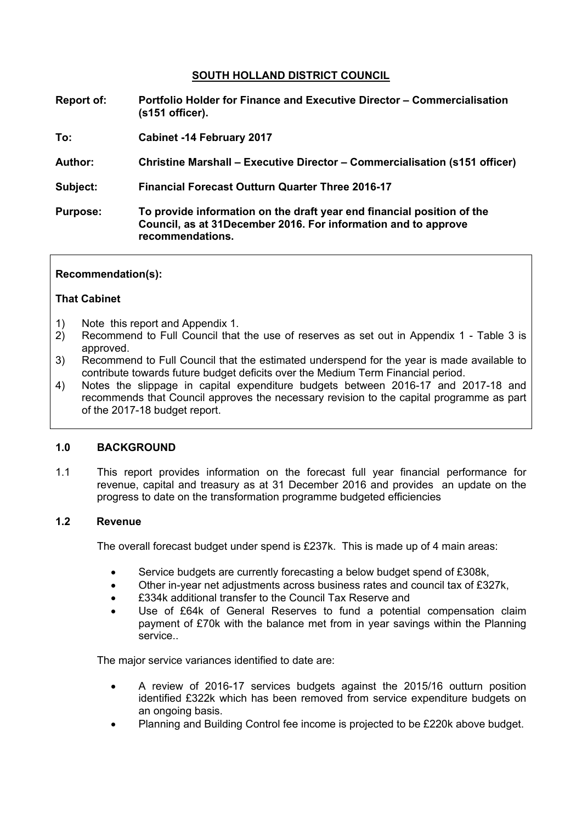## **SOUTH HOLLAND DISTRICT COUNCIL**

- **Report of: Portfolio Holder for Finance and Executive Director – Commercialisation (s151 officer).**
- **To: Cabinet -14 February 2017**
- **Author: Christine Marshall – Executive Director – Commercialisation (s151 officer)**
- **Subject: Financial Forecast Outturn Quarter Three 2016-17**
- **Purpose: To provide information on the draft year end financial position of the Council, as at 31December 2016. For information and to approve recommendations.**

### **Recommendation(s):**

### **That Cabinet**

- 1) Note this report and Appendix 1.
- 2) Recommend to Full Council that the use of reserves as set out in Appendix 1 Table 3 is approved.
- 3) Recommend to Full Council that the estimated underspend for the year is made available to contribute towards future budget deficits over the Medium Term Financial period.
- 4) Notes the slippage in capital expenditure budgets between 2016-17 and 2017-18 and recommends that Council approves the necessary revision to the capital programme as part of the 2017-18 budget report.

### **1.0 BACKGROUND**

1.1 This report provides information on the forecast full year financial performance for revenue, capital and treasury as at 31 December 2016 and provides an update on the progress to date on the transformation programme budgeted efficiencies

## **1.2 Revenue**

The overall forecast budget under spend is £237k. This is made up of 4 main areas:

- Service budgets are currently forecasting a below budget spend of £308k,
- Other in-year net adjustments across business rates and council tax of £327k,
- £334k additional transfer to the Council Tax Reserve and
- Use of £64k of General Reserves to fund a potential compensation claim payment of £70k with the balance met from in year savings within the Planning service..

The major service variances identified to date are:

- A review of 2016-17 services budgets against the 2015/16 outturn position identified £322k which has been removed from service expenditure budgets on an ongoing basis.
- Planning and Building Control fee income is projected to be £220k above budget.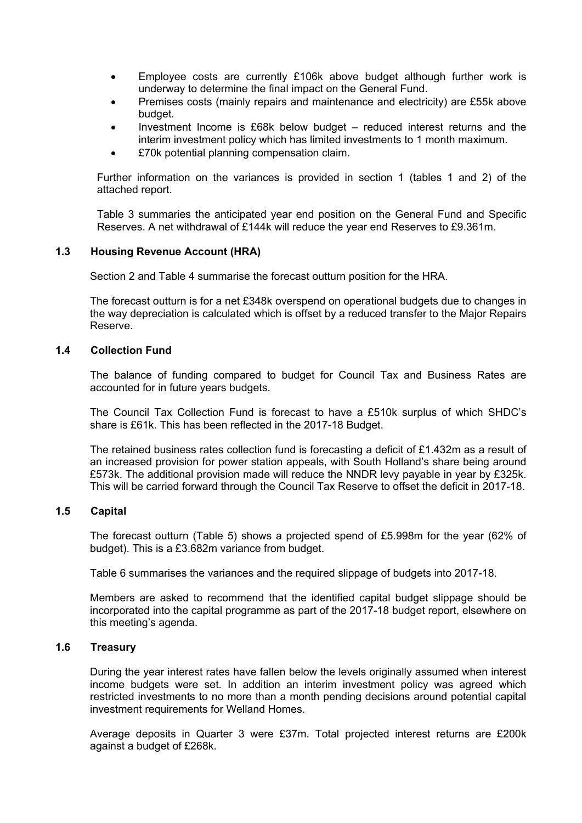- Employee costs are currently £106k above budget although further work is underway to determine the final impact on the General Fund.
- Premises costs (mainly repairs and maintenance and electricity) are £55k above budget.
- Investment Income is £68k below budget reduced interest returns and the interim investment policy which has limited investments to 1 month maximum.
- £70k potential planning compensation claim.

Further information on the variances is provided in section 1 (tables 1 and 2) of the attached report.

Table 3 summaries the anticipated year end position on the General Fund and Specific Reserves. A net withdrawal of £144k will reduce the year end Reserves to £9.361m.

## **1.3 Housing Revenue Account (HRA)**

Section 2 and Table 4 summarise the forecast outturn position for the HRA.

The forecast outturn is for a net £348k overspend on operational budgets due to changes in the way depreciation is calculated which is offset by a reduced transfer to the Major Repairs Reserve.

### **1.4 Collection Fund**

The balance of funding compared to budget for Council Tax and Business Rates are accounted for in future years budgets.

The Council Tax Collection Fund is forecast to have a £510k surplus of which SHDC's share is £61k. This has been reflected in the 2017-18 Budget.

The retained business rates collection fund is forecasting a deficit of £1.432m as a result of an increased provision for power station appeals, with South Holland's share being around £573k. The additional provision made will reduce the NNDR levy payable in year by £325k. This will be carried forward through the Council Tax Reserve to offset the deficit in 2017-18.

## **1.5 Capital**

The forecast outturn (Table 5) shows a projected spend of £5.998m for the year (62% of budget). This is a £3.682m variance from budget.

Table 6 summarises the variances and the required slippage of budgets into 2017-18.

Members are asked to recommend that the identified capital budget slippage should be incorporated into the capital programme as part of the 2017-18 budget report, elsewhere on this meeting's agenda.

## **1.6 Treasury**

During the year interest rates have fallen below the levels originally assumed when interest income budgets were set. In addition an interim investment policy was agreed which restricted investments to no more than a month pending decisions around potential capital investment requirements for Welland Homes.

Average deposits in Quarter 3 were £37m. Total projected interest returns are £200k against a budget of £268k.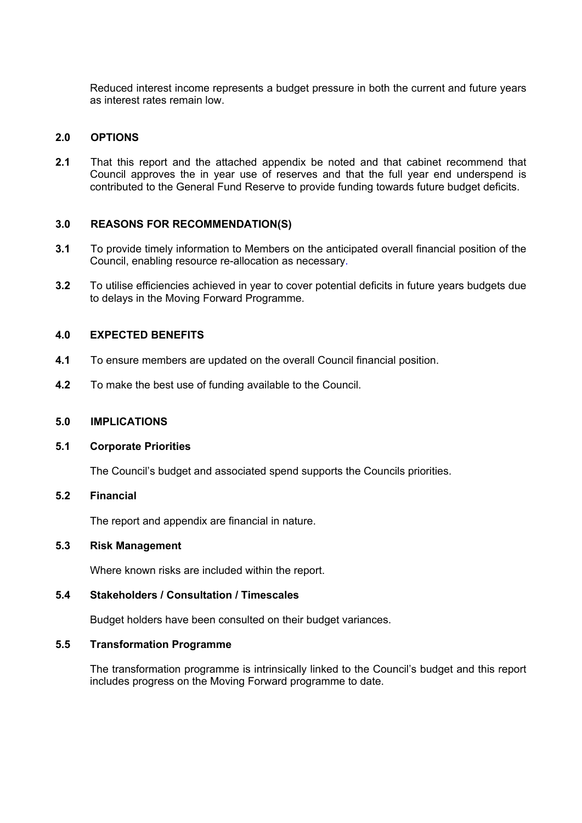Reduced interest income represents a budget pressure in both the current and future years as interest rates remain low.

## **2.0 OPTIONS**

**2.1** That this report and the attached appendix be noted and that cabinet recommend that Council approves the in year use of reserves and that the full year end underspend is contributed to the General Fund Reserve to provide funding towards future budget deficits.

# **3.0 REASONS FOR RECOMMENDATION(S)**

- **3.1** To provide timely information to Members on the anticipated overall financial position of the Council, enabling resource re-allocation as necessary.
- **3.2** To utilise efficiencies achieved in year to cover potential deficits in future years budgets due to delays in the Moving Forward Programme.

## **4.0 EXPECTED BENEFITS**

- **4.1** To ensure members are updated on the overall Council financial position.
- **4.2** To make the best use of funding available to the Council.

### **5.0 IMPLICATIONS**

### **5.1 Corporate Priorities**

The Council's budget and associated spend supports the Councils priorities.

### **5.2 Financial**

The report and appendix are financial in nature.

## **5.3 Risk Management**

Where known risks are included within the report.

## **5.4 Stakeholders / Consultation / Timescales**

Budget holders have been consulted on their budget variances.

### **5.5 Transformation Programme**

The transformation programme is intrinsically linked to the Council's budget and this report includes progress on the Moving Forward programme to date.